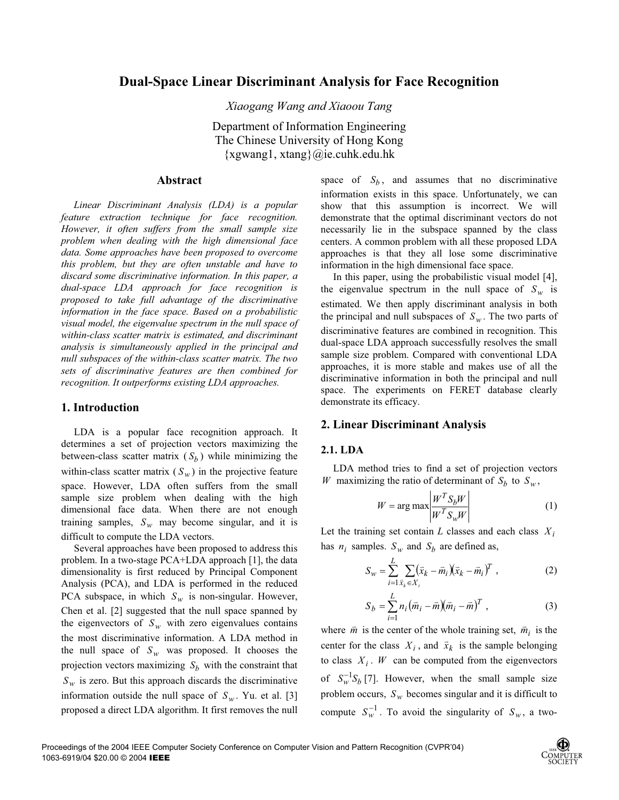# **Dual-Space Linear Discriminant Analysis for Face Recognition**

*Xiaogang Wang and Xiaoou Tang* 

Department of Information Engineering The Chinese University of Hong Kong {xgwang1, xtang}@ie.cuhk.edu.hk

### **Abstract**

 *Linear Discriminant Analysis (LDA) is a popular feature extraction technique for face recognition. However, it often suffers from the small sample size problem when dealing with the high dimensional face data. Some approaches have been proposed to overcome this problem, but they are often unstable and have to discard some discriminative information. In this paper, a dual-space LDA approach for face recognition is proposed to take full advantage of the discriminative information in the face space. Based on a probabilistic visual model, the eigenvalue spectrum in the null space of within-class scatter matrix is estimated, and discriminant analysis is simultaneously applied in the principal and null subspaces of the within-class scatter matrix. The two sets of discriminative features are then combined for recognition. It outperforms existing LDA approaches.* 

### **1. Introduction**

LDA is a popular face recognition approach. It determines a set of projection vectors maximizing the between-class scatter matrix  $(S_h)$  while minimizing the within-class scatter matrix  $(S_w)$  in the projective feature space. However, LDA often suffers from the small sample size problem when dealing with the high dimensional face data. When there are not enough training samples,  $S_w$  may become singular, and it is difficult to compute the LDA vectors.

Several approaches have been proposed to address this problem. In a two-stage PCA+LDA approach [1], the data dimensionality is first reduced by Principal Component Analysis (PCA), and LDA is performed in the reduced PCA subspace, in which  $S_w$  is non-singular. However, Chen et al. [2] suggested that the null space spanned by the eigenvectors of  $S_w$  with zero eigenvalues contains the most discriminative information. A LDA method in the null space of  $S_w$  was proposed. It chooses the projection vectors maximizing  $S_b$  with the constraint that  $S_w$  is zero. But this approach discards the discriminative information outside the null space of  $S_w$ . Yu. et al. [3] proposed a direct LDA algorithm. It first removes the null

space of  $S_b$ , and assumes that no discriminative information exists in this space. Unfortunately, we can show that this assumption is incorrect. We will demonstrate that the optimal discriminant vectors do not necessarily lie in the subspace spanned by the class centers. A common problem with all these proposed LDA approaches is that they all lose some discriminative information in the high dimensional face space.

In this paper, using the probabilistic visual model [4], the eigenvalue spectrum in the null space of  $S_w$  is estimated. We then apply discriminant analysis in both the principal and null subspaces of  $S_w$ . The two parts of discriminative features are combined in recognition. This dual-space LDA approach successfully resolves the small sample size problem. Compared with conventional LDA approaches, it is more stable and makes use of all the discriminative information in both the principal and null space. The experiments on FERET database clearly demonstrate its efficacy.

### **2. Linear Discriminant Analysis**

#### **2.1. LDA**

LDA method tries to find a set of projection vectors *W* maximizing the ratio of determinant of  $S_b$  to  $S_w$ ,

$$
W = \arg \max \left| \frac{W^T S_b W}{W^T S_w W} \right| \tag{1}
$$

Let the training set contain *L* classes and each class  $X_i$ has  $n_i$  samples.  $S_w$  and  $S_b$  are defined as,

$$
S_w = \sum_{i=1}^{L} \sum_{\bar{x}_k \in X_i} (\bar{x}_k - \bar{m}_i)(\bar{x}_k - \bar{m}_i)^T , \qquad (2)
$$

$$
S_b = \sum_{i=1}^{L} n_i \left( \bar{m}_i - \bar{m} \right) \left( \bar{m}_i - \bar{m} \right)^T , \qquad (3)
$$

where  $\vec{m}$  is the center of the whole training set,  $\vec{m}_i$  is the center for the class  $X_i$ , and  $\bar{x}_k$  is the sample belonging to class  $X_i$ . *W* can be computed from the eigenvectors of  $S_w^{-1}S_h$  [7]. However, when the small sample size problem occurs,  $S_w$  becomes singular and it is difficult to compute  $S_w^{-1}$ . To avoid the singularity of  $S_w$ , a two-

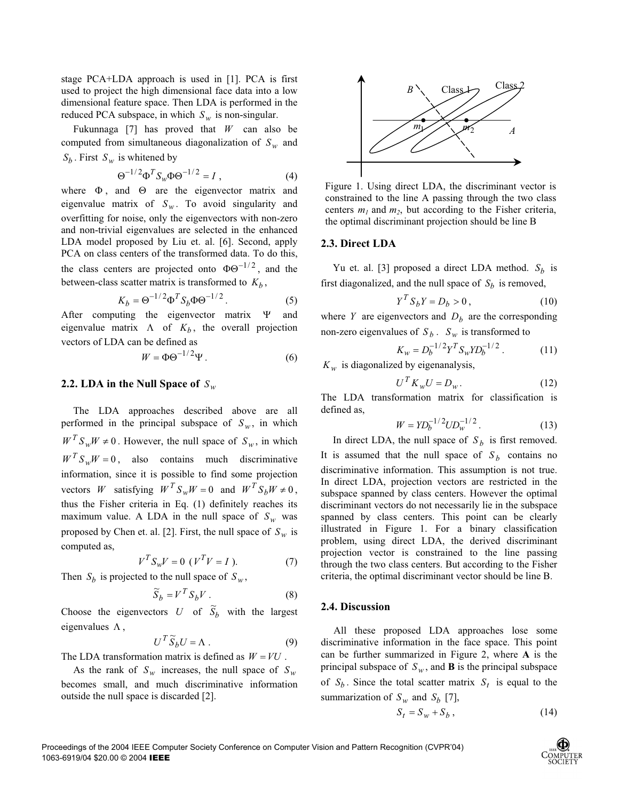stage PCA+LDA approach is used in [1]. PCA is first used to project the high dimensional face data into a low dimensional feature space. Then LDA is performed in the reduced PCA subspace, in which  $S_w$  is non-singular.

Fukunnaga [7] has proved that *W* can also be computed from simultaneous diagonalization of  $S_w$  and  $S_b$ . First  $S_w$  is whitened by

$$
\Theta^{-1/2} \Phi^T S_w \Phi \Theta^{-1/2} = I \tag{4}
$$

where  $\Phi$ , and  $\Theta$  are the eigenvector matrix and eigenvalue matrix of  $S_w$ . To avoid singularity and overfitting for noise, only the eigenvectors with non-zero and non-trivial eigenvalues are selected in the enhanced LDA model proposed by Liu et. al. [6]. Second, apply PCA on class centers of the transformed data. To do this, the class centers are projected onto  $\Phi \Theta^{-1/2}$ , and the between-class scatter matrix is transformed to  $K_h$ ,

$$
K_b = \Theta^{-1/2} \Phi^T S_b \Phi \Theta^{-1/2}.
$$
 (5)

After computing the eigenvector matrix  $\Psi$  and eigenvalue matrix  $\Lambda$  of  $K_b$ , the overall projection vectors of LDA can be defined as

$$
W = \Phi \Theta^{-1/2} \Psi \,. \tag{6}
$$

#### **2.2. LDA in the Null Space of**  $S_w$

The LDA approaches described above are all performed in the principal subspace of  $S_w$ , in which  $W^{T} S_{w} W \neq 0$ . However, the null space of  $S_{w}$ , in which  $W^T S_w W = 0$ , also contains much discriminative information, since it is possible to find some projection vectors *W* satisfying  $W^T S_w W = 0$  and  $W^T S_h W \neq 0$ , thus the Fisher criteria in Eq. (1) definitely reaches its maximum value. A LDA in the null space of  $S_w$  was proposed by Chen et. al. [2]. First, the null space of  $S_w$  is computed as,

$$
V^T S_w V = 0 \ (V^T V = I). \tag{7}
$$

Then  $S_b$  is projected to the null space of  $S_w$ ,

$$
\widetilde{S}_b = V^T S_b V . \tag{8}
$$

Choose the eigenvectors U of  $S_b$  with the largest eigenvalues  $\Lambda$ ,

$$
U^T \widetilde{S}_b U = \Lambda \ . \eqno{(9)}
$$

The LDA transformation matrix is defined as  $W = VU$ .

As the rank of  $S_w$  increases, the null space of  $S_w$ becomes small, and much discriminative information outside the null space is discarded [2].



Figure 1. Using direct LDA, the discriminant vector is constrained to the line A passing through the two class centers  $m_1$  and  $m_2$ , but according to the Fisher criteria, the optimal discriminant projection should be line B

### **2.3. Direct LDA**

Yu et. al. [3] proposed a direct LDA method.  $S_h$  is first diagonalized, and the null space of  $S_h$  is removed,

$$
Y^T S_b Y = D_b > 0, \qquad (10)
$$

where *Y* are eigenvectors and  $D<sub>b</sub>$  are the corresponding non-zero eigenvalues of  $S_b$ .  $S_w$  is transformed to

$$
K_w = D_b^{-1/2} Y^T S_w Y D_b^{-1/2} . \tag{11}
$$

 $K_w$  is diagonalized by eigenanalysis,

$$
U^T K_w U = D_w.
$$
 (12)

The LDA transformation matrix for classification is defined as,

$$
W = Y D_b^{-1/2} U D_w^{-1/2} . \tag{13}
$$

In direct LDA, the null space of  $S_b$  is first removed. It is assumed that the null space of  $S_h$  contains no discriminative information. This assumption is not true. In direct LDA, projection vectors are restricted in the subspace spanned by class centers. However the optimal discriminant vectors do not necessarily lie in the subspace spanned by class centers. This point can be clearly illustrated in Figure 1. For a binary classification problem, using direct LDA, the derived discriminant projection vector is constrained to the line passing through the two class centers. But according to the Fisher criteria, the optimal discriminant vector should be line B.

#### **2.4. Discussion**

 All these proposed LDA approaches lose some discriminative information in the face space. This point can be further summarized in Figure 2, where **A** is the principal subspace of  $S_w$ , and **B** is the principal subspace of  $S_b$ . Since the total scatter matrix  $S_t$  is equal to the summarization of  $S_w$  and  $S_b$  [7],

$$
S_t = S_w + S_b, \qquad (14)
$$

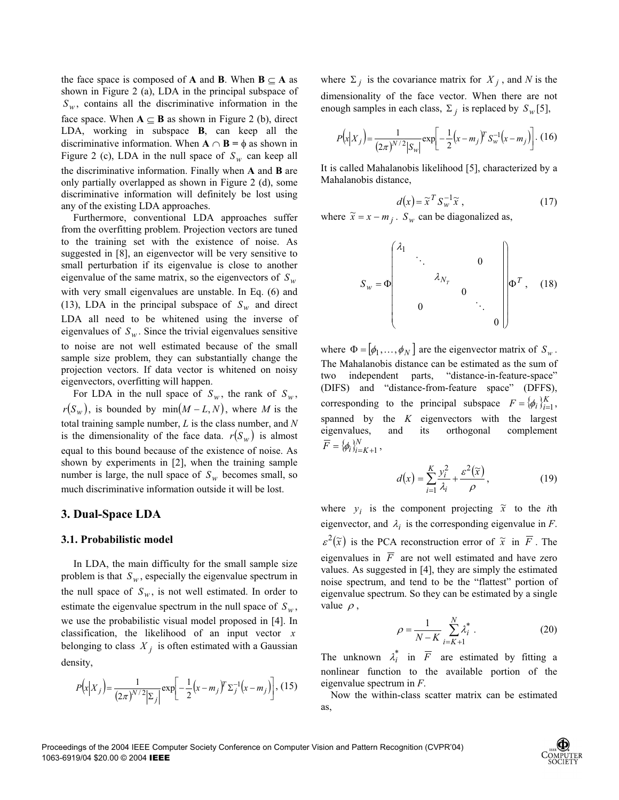the face space is composed of **A** and **B**. When  $\mathbf{B} \subseteq \mathbf{A}$  as shown in Figure 2 (a), LDA in the principal subspace of  $S_w$ , contains all the discriminative information in the face space. When  $A \subseteq B$  as shown in Figure 2 (b), direct LDA, working in subspace **B**, can keep all the discriminative information. When  $A \cap B = \phi$  as shown in Figure 2 (c), LDA in the null space of  $S_w$  can keep all the discriminative information. Finally when **A** and **B** are only partially overlapped as shown in Figure 2 (d), some discriminative information will definitely be lost using any of the existing LDA approaches.

Furthermore, conventional LDA approaches suffer from the overfitting problem. Projection vectors are tuned to the training set with the existence of noise. As suggested in [8], an eigenvector will be very sensitive to small perturbation if its eigenvalue is close to another eigenvalue of the same matrix, so the eigenvectors of  $S_w$ with very small eigenvalues are unstable. In Eq. (6) and (13), LDA in the principal subspace of  $S_w$  and direct LDA all need to be whitened using the inverse of eigenvalues of  $S_w$ . Since the trivial eigenvalues sensitive to noise are not well estimated because of the small sample size problem, they can substantially change the projection vectors. If data vector is whitened on noisy eigenvectors, overfitting will happen.

For LDA in the null space of  $S_w$ , the rank of  $S_w$ ,  $r(S_w)$ , is bounded by min $(M - L, N)$ , where M is the total training sample number, *L* is the class number, and *N* is the dimensionality of the face data.  $r(S_w)$  is almost equal to this bound because of the existence of noise. As shown by experiments in [2], when the training sample number is large, the null space of  $S_w$  becomes small, so much discriminative information outside it will be lost.

### **3. Dual-Space LDA**

### **3.1. Probabilistic model**

In LDA, the main difficulty for the small sample size problem is that  $S_w$ , especially the eigenvalue spectrum in the null space of  $S_w$ , is not well estimated. In order to estimate the eigenvalue spectrum in the null space of  $S_w$ , we use the probabilistic visual model proposed in [4]. In classification, the likelihood of an input vector *x* belonging to class  $X_i$  is often estimated with a Gaussian density,

$$
P(x|X_j) = \frac{1}{(2\pi)^{N/2} |\Sigma_j|} \exp\left[-\frac{1}{2}(x-m_j)^T \Sigma_j^{-1}(x-m_j)\right],
$$
 (15)

where  $\Sigma_j$  is the covariance matrix for  $X_j$ , and N is the dimensionality of the face vector. When there are not enough samples in each class,  $\Sigma_i$  is replaced by  $S_w[5]$ ,

$$
P(x|X_j) = \frac{1}{(2\pi)^{N/2} |S_w|} \exp\left[-\frac{1}{2}(x - m_j)^T S_w^{-1}(x - m_j)\right].
$$
 (16)

It is called Mahalanobis likelihood [5], characterized by a Mahalanobis distance,

$$
d(x) = \tilde{x}^T S_w^{-1} \tilde{x} , \qquad (17)
$$

where  $\tilde{x} = x - m_i$ .  $S_w$  can be diagonalized as,

$$
S_{w} = \Phi \begin{pmatrix} \lambda_{1} & & & & & \\ & \ddots & & & 0 & \\ & & \lambda_{N_{T}} & & \\ & & & 0 & & \\ & & & & \ddots & \\ & & & & & 0 \end{pmatrix} \Phi^{T}, (18)
$$

where  $\Phi = [\phi_1, \dots, \phi_N]$  are the eigenvector matrix of  $S_w$ . The Mahalanobis distance can be estimated as the sum of two independent parts, "distance-in-feature-space" (DIFS) and "distance-from-feature space" (DFFS), corresponding to the principal subspace  $F = {\phi_i}_{i=1}^K$ , spanned by the *K* eigenvectors with the largest eigenvalues, and its orthogonal complement  $\overline{F} = {\phi_i}_{i=K+1}^N$ 

$$
d(x) = \sum_{i=1}^{K} \frac{y_i^2}{\lambda_i} + \frac{\varepsilon^2(\widetilde{x})}{\rho},
$$
\n(19)

where  $y_i$  is the component projecting  $\tilde{x}$  to the *i*th eigenvector, and  $\lambda_i$  is the corresponding eigenvalue in *F*.  $\varepsilon^2(\tilde{x})$  is the PCA reconstruction error of  $\tilde{x}$  in  $\overline{F}$ . The eigenvalues in  $\overline{F}$  are not well estimated and have zero values. As suggested in [4], they are simply the estimated noise spectrum, and tend to be the "flattest" portion of eigenvalue spectrum. So they can be estimated by a single value  $\rho$ ,

$$
\rho = \frac{1}{N - K} \sum_{i = K + 1}^{N} \lambda_i^* \,. \tag{20}
$$

The unknown  $\lambda_i^*$  in  $\overline{F}$  are estimated by fitting a nonlinear function to the available portion of the eigenvalue spectrum in *F*.

Now the within-class scatter matrix can be estimated as,

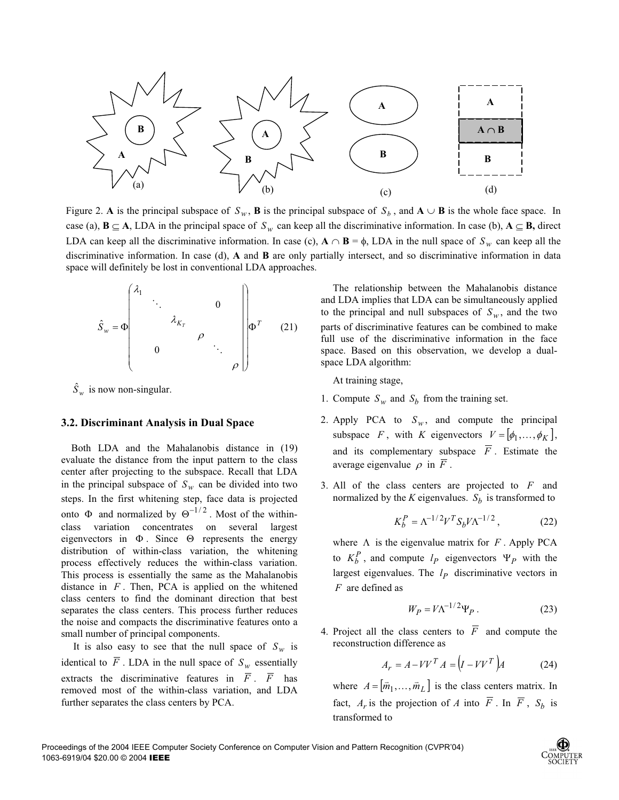

Figure 2. A is the principal subspace of  $S_w$ , **B** is the principal subspace of  $S_b$ , and  $A \cup B$  is the whole face space. In case (a),  $B \subseteq A$ , LDA in the principal space of  $S_w$  can keep all the discriminative information. In case (b),  $A \subseteq B$ , direct LDA can keep all the discriminative information. In case (c),  $A \cap B = \phi$ , LDA in the null space of  $S_w$  can keep all the discriminative information. In case (d), **A** and **B** are only partially intersect, and so discriminative information in data space will definitely be lost in conventional LDA approaches.

$$
\hat{S}_{w} = \Phi \begin{pmatrix} \lambda_{1} & & & & & \\ & \ddots & & & & \\ & & \lambda_{K_{T}} & & \\ & & & \rho & & \\ & & & & \ddots & \\ & & & & & \rho \end{pmatrix} \Phi^{T} \qquad (21)
$$

 $\hat{S}_w$  is now non-singular.

#### **3.2. Discriminant Analysis in Dual Space**

 Both LDA and the Mahalanobis distance in (19) evaluate the distance from the input pattern to the class center after projecting to the subspace. Recall that LDA in the principal subspace of  $S_w$  can be divided into two steps. In the first whitening step, face data is projected onto  $\Phi$  and normalized by  $\Theta^{-1/2}$ . Most of the withinclass variation concentrates on several largest eigenvectors in  $\Phi$ . Since  $\Theta$  represents the energy distribution of within-class variation, the whitening process effectively reduces the within-class variation. This process is essentially the same as the Mahalanobis distance in *F* . Then, PCA is applied on the whitened class centers to find the dominant direction that best separates the class centers. This process further reduces the noise and compacts the discriminative features onto a small number of principal components.

It is also easy to see that the null space of  $S_w$  is identical to  $\overline{F}$ . LDA in the null space of  $S_w$  essentially extracts the discriminative features in  $\overline{F}$ .  $\overline{F}$  has removed most of the within-class variation, and LDA further separates the class centers by PCA.

The relationship between the Mahalanobis distance and LDA implies that LDA can be simultaneously applied to the principal and null subspaces of  $S_w$ , and the two parts of discriminative features can be combined to make full use of the discriminative information in the face space. Based on this observation, we develop a dualspace LDA algorithm:

At training stage,

- 1. Compute  $S_w$  and  $S_b$  from the training set.
- 2. Apply PCA to  $S_w$ , and compute the principal subspace *F*, with *K* eigenvectors  $V = [\phi_1, \dots, \phi_K]$ , and its complementary subspace  $\overline{F}$ . Estimate the average eigenvalue  $\rho$  in  $\overline{F}$ .
- 3. All of the class centers are projected to *F* and normalized by the *K* eigenvalues.  $S_b$  is transformed to

$$
K_b^P = \Lambda^{-1/2} V^T S_b V \Lambda^{-1/2} , \qquad (22)
$$

where  $\Lambda$  is the eigenvalue matrix for  $F$ . Apply PCA to  $K_b^P$ , and compute  $l_p$  eigenvectors  $\Psi_p$  with the largest eigenvalues. The  $l_p$  discriminative vectors in *F* are defined as

$$
W_P = V \Lambda^{-1/2} \Psi_P \,. \tag{23}
$$

4. Project all the class centers to  $\overline{F}$  and compute the reconstruction difference as

$$
A_r = A - VV^T A = (I - VV^T)A
$$
 (24)

where  $A = [\overline{m}_1, ..., \overline{m}_L]$  is the class centers matrix. In fact,  $A_r$  is the projection of *A* into  $\overline{F}$ . In  $\overline{F}$ ,  $S_b$  is transformed to

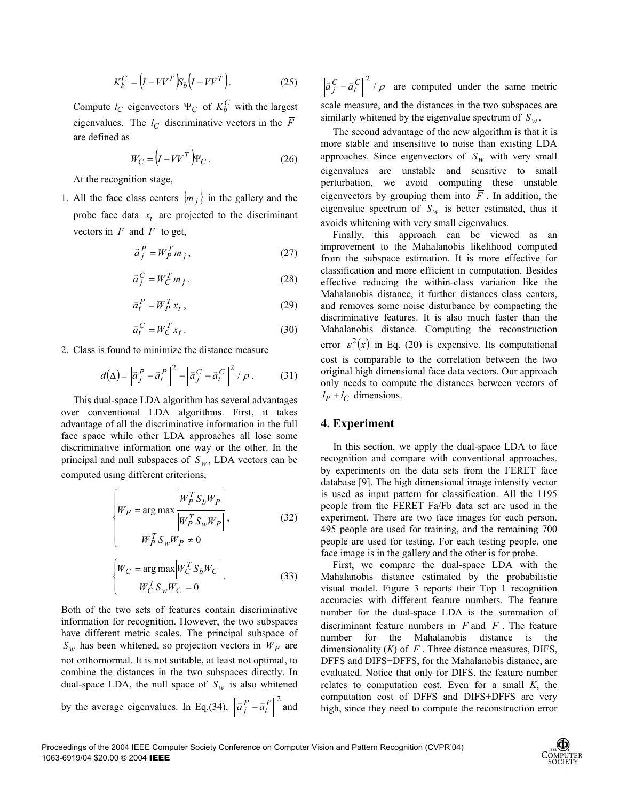$$
K_b^C = (I - VV^T)S_b(I - VV^T). \tag{25}
$$

Compute  $l_C$  eigenvectors  $\Psi_C$  of  $K_b^C$  with the largest eigenvalues. The  $l_C$  discriminative vectors in the  $\overline{F}$ are defined as

$$
W_C = (I - VV^T) \Psi_C.
$$
 (26)

At the recognition stage,

1. All the face class centers  $\langle m_j \rangle$  in the gallery and the probe face data  $x_t$  are projected to the discriminant vectors in  $F$  and  $\overline{F}$  to get,

$$
\bar{a}_j^P = W_p^T m_j, \qquad (27)
$$

$$
\bar{a}_j^C = W_C^T m_j \,. \tag{28}
$$

$$
\bar{a}_t^P = W_p^T x_t, \qquad (29)
$$

$$
\bar{a}_t^C = W_C^T x_t \,. \tag{30}
$$

2. Class is found to minimize the distance measure

$$
d(\Delta) = \left\| \vec{a}_j^P - \vec{a}_t^P \right\|^2 + \left\| \vec{a}_j^C - \vec{a}_t^C \right\|^2 / \rho. \tag{31}
$$

This dual-space LDA algorithm has several advantages over conventional LDA algorithms. First, it takes advantage of all the discriminative information in the full face space while other LDA approaches all lose some discriminative information one way or the other. In the principal and null subspaces of  $S_w$ , LDA vectors can be computed using different criterions,

$$
\begin{cases}\nW_P = \arg \max \left| \frac{W_P^T S_b W_P}{W_P^T S_w W_P} \right|, & \text{(32)} \\
W_P^T S_w W_P \neq 0\n\end{cases}
$$

$$
\begin{cases}\nW_C = \arg \max \left| W_C^T S_b W_C \right| \\
W_C^T S_w W_C = 0\n\end{cases}
$$
\n(33)

Both of the two sets of features contain discriminative information for recognition. However, the two subspaces have different metric scales. The principal subspace of  $S_w$  has been whitened, so projection vectors in  $W_p$  are not orthornormal. It is not suitable, at least not optimal, to combine the distances in the two subspaces directly. In dual-space LDA, the null space of  $S_w$  is also whitened by the average eigenvalues. In Eq.(34),  $\left\| \vec{a}_j^P - \vec{a}_l^P \right\|^2$  and

 $\left. \frac{\partial}{\partial f} - \frac{\partial}{\partial r} f \right\|^2 / \rho$  are computed under the same metric scale measure, and the distances in the two subspaces are similarly whitened by the eigenvalue spectrum of  $S_w$ .

The second advantage of the new algorithm is that it is more stable and insensitive to noise than existing LDA approaches. Since eigenvectors of  $S_w$  with very small eigenvalues are unstable and sensitive to small perturbation, we avoid computing these unstable eigenvectors by grouping them into  $\overline{F}$ . In addition, the eigenvalue spectrum of  $S_w$  is better estimated, thus it avoids whitening with very small eigenvalues.

Finally, this approach can be viewed as an improvement to the Mahalanobis likelihood computed from the subspace estimation. It is more effective for classification and more efficient in computation. Besides effective reducing the within-class variation like the Mahalanobis distance, it further distances class centers, and removes some noise disturbance by compacting the discriminative features. It is also much faster than the Mahalanobis distance. Computing the reconstruction error  $\varepsilon^2(x)$  in Eq. (20) is expensive. Its computational cost is comparable to the correlation between the two original high dimensional face data vectors. Our approach only needs to compute the distances between vectors of  $l_P + l_C$  dimensions.

## **4. Experiment**

In this section, we apply the dual-space LDA to face recognition and compare with conventional approaches. by experiments on the data sets from the FERET face database [9]. The high dimensional image intensity vector is used as input pattern for classification. All the 1195 people from the FERET Fa/Fb data set are used in the experiment. There are two face images for each person. 495 people are used for training, and the remaining 700 people are used for testing. For each testing people, one face image is in the gallery and the other is for probe.

First, we compare the dual-space LDA with the Mahalanobis distance estimated by the probabilistic visual model. Figure 3 reports their Top 1 recognition accuracies with different feature numbers. The feature number for the dual-space LDA is the summation of discriminant feature numbers in  $F$  and  $\overline{F}$ . The feature number for the Mahalanobis distance is the dimensionality (*K*) of *F* . Three distance measures, DIFS, DFFS and DIFS+DFFS, for the Mahalanobis distance, are evaluated. Notice that only for DIFS. the feature number relates to computation cost. Even for a small *K*, the computation cost of DFFS and DIFS+DFFS are very high, since they need to compute the reconstruction error